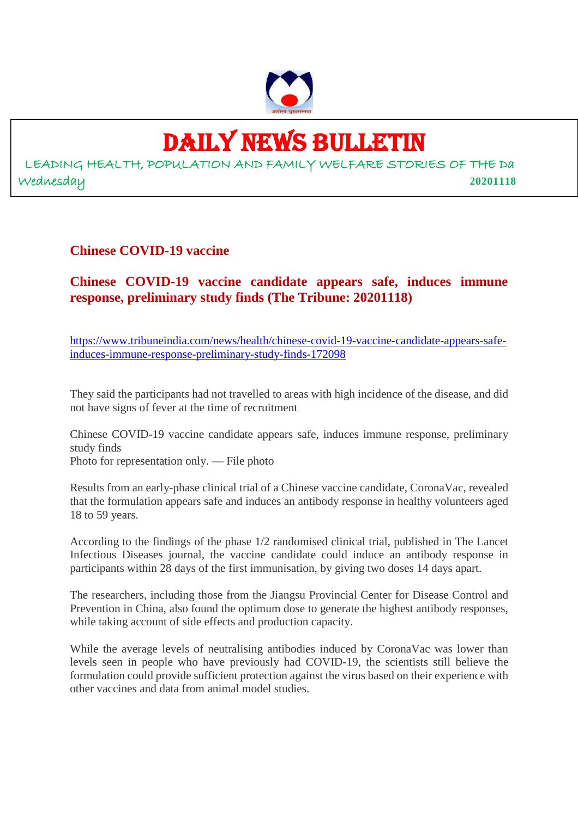

# DAILY NEWS BULLETIN

LEADING HEALTH, POPULATION AND FAMILY WELFARE STORIES OF THE Da Wednesday **20201118**

**Chinese COVID-19 vaccine**

#### **Chinese COVID-19 vaccine candidate appears safe, induces immune response, preliminary study finds (The Tribune: 20201118)**

https://www.tribuneindia.com/news/health/chinese-covid-19-vaccine-candidate-appears-safeinduces-immune-response-preliminary-study-finds-172098

They said the participants had not travelled to areas with high incidence of the disease, and did not have signs of fever at the time of recruitment

Chinese COVID-19 vaccine candidate appears safe, induces immune response, preliminary study finds Photo for representation only. — File photo

Results from an early-phase clinical trial of a Chinese vaccine candidate, CoronaVac, revealed that the formulation appears safe and induces an antibody response in healthy volunteers aged 18 to 59 years.

According to the findings of the phase 1/2 randomised clinical trial, published in The Lancet Infectious Diseases journal, the vaccine candidate could induce an antibody response in participants within 28 days of the first immunisation, by giving two doses 14 days apart.

The researchers, including those from the Jiangsu Provincial Center for Disease Control and Prevention in China, also found the optimum dose to generate the highest antibody responses, while taking account of side effects and production capacity.

While the average levels of neutralising antibodies induced by CoronaVac was lower than levels seen in people who have previously had COVID-19, the scientists still believe the formulation could provide sufficient protection against the virus based on their experience with other vaccines and data from animal model studies.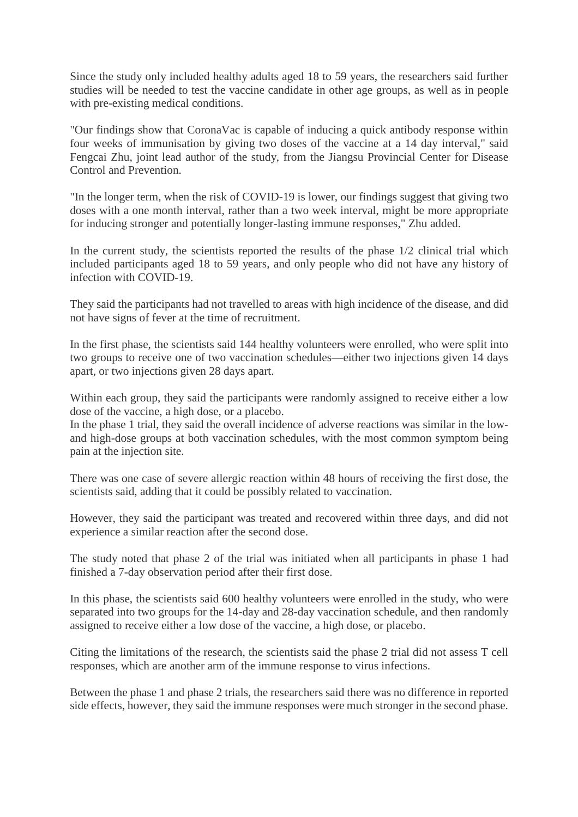Since the study only included healthy adults aged 18 to 59 years, the researchers said further studies will be needed to test the vaccine candidate in other age groups, as well as in people with pre-existing medical conditions.

"Our findings show that CoronaVac is capable of inducing a quick antibody response within four weeks of immunisation by giving two doses of the vaccine at a 14 day interval," said Fengcai Zhu, joint lead author of the study, from the Jiangsu Provincial Center for Disease Control and Prevention.

"In the longer term, when the risk of COVID-19 is lower, our findings suggest that giving two doses with a one month interval, rather than a two week interval, might be more appropriate for inducing stronger and potentially longer-lasting immune responses," Zhu added.

In the current study, the scientists reported the results of the phase  $1/2$  clinical trial which included participants aged 18 to 59 years, and only people who did not have any history of infection with COVID-19.

They said the participants had not travelled to areas with high incidence of the disease, and did not have signs of fever at the time of recruitment.

In the first phase, the scientists said 144 healthy volunteers were enrolled, who were split into two groups to receive one of two vaccination schedules—either two injections given 14 days apart, or two injections given 28 days apart.

Within each group, they said the participants were randomly assigned to receive either a low dose of the vaccine, a high dose, or a placebo.

In the phase 1 trial, they said the overall incidence of adverse reactions was similar in the lowand high-dose groups at both vaccination schedules, with the most common symptom being pain at the injection site.

There was one case of severe allergic reaction within 48 hours of receiving the first dose, the scientists said, adding that it could be possibly related to vaccination.

However, they said the participant was treated and recovered within three days, and did not experience a similar reaction after the second dose.

The study noted that phase 2 of the trial was initiated when all participants in phase 1 had finished a 7-day observation period after their first dose.

In this phase, the scientists said 600 healthy volunteers were enrolled in the study, who were separated into two groups for the 14-day and 28-day vaccination schedule, and then randomly assigned to receive either a low dose of the vaccine, a high dose, or placebo.

Citing the limitations of the research, the scientists said the phase 2 trial did not assess T cell responses, which are another arm of the immune response to virus infections.

Between the phase 1 and phase 2 trials, the researchers said there was no difference in reported side effects, however, they said the immune responses were much stronger in the second phase.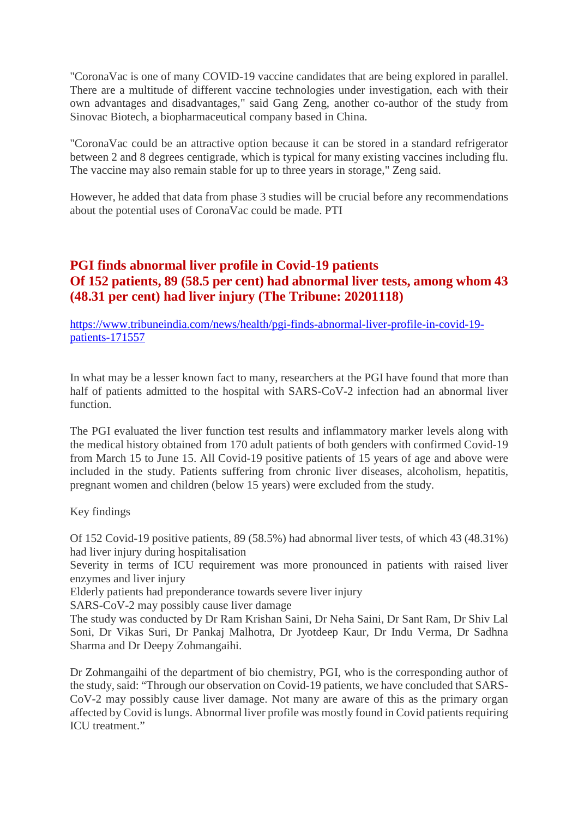"CoronaVac is one of many COVID-19 vaccine candidates that are being explored in parallel. There are a multitude of different vaccine technologies under investigation, each with their own advantages and disadvantages," said Gang Zeng, another co-author of the study from Sinovac Biotech, a biopharmaceutical company based in China.

"CoronaVac could be an attractive option because it can be stored in a standard refrigerator between 2 and 8 degrees centigrade, which is typical for many existing vaccines including flu. The vaccine may also remain stable for up to three years in storage," Zeng said.

However, he added that data from phase 3 studies will be crucial before any recommendations about the potential uses of CoronaVac could be made. PTI

#### **PGI finds abnormal liver profile in Covid-19 patients Of 152 patients, 89 (58.5 per cent) had abnormal liver tests, among whom 43 (48.31 per cent) had liver injury (The Tribune: 20201118)**

https://www.tribuneindia.com/news/health/pgi-finds-abnormal-liver-profile-in-covid-19 patients-171557

In what may be a lesser known fact to many, researchers at the PGI have found that more than half of patients admitted to the hospital with SARS-CoV-2 infection had an abnormal liver function.

The PGI evaluated the liver function test results and inflammatory marker levels along with the medical history obtained from 170 adult patients of both genders with confirmed Covid-19 from March 15 to June 15. All Covid-19 positive patients of 15 years of age and above were included in the study. Patients suffering from chronic liver diseases, alcoholism, hepatitis, pregnant women and children (below 15 years) were excluded from the study.

#### Key findings

Of 152 Covid-19 positive patients, 89 (58.5%) had abnormal liver tests, of which 43 (48.31%) had liver injury during hospitalisation

Severity in terms of ICU requirement was more pronounced in patients with raised liver enzymes and liver injury

Elderly patients had preponderance towards severe liver injury

SARS-CoV-2 may possibly cause liver damage

The study was conducted by Dr Ram Krishan Saini, Dr Neha Saini, Dr Sant Ram, Dr Shiv Lal Soni, Dr Vikas Suri, Dr Pankaj Malhotra, Dr Jyotdeep Kaur, Dr Indu Verma, Dr Sadhna Sharma and Dr Deepy Zohmangaihi.

Dr Zohmangaihi of the department of bio chemistry, PGI, who is the corresponding author of the study, said: "Through our observation on Covid-19 patients, we have concluded that SARS-CoV-2 may possibly cause liver damage. Not many are aware of this as the primary organ affected by Covid is lungs. Abnormal liver profile was mostly found in Covid patients requiring ICU treatment."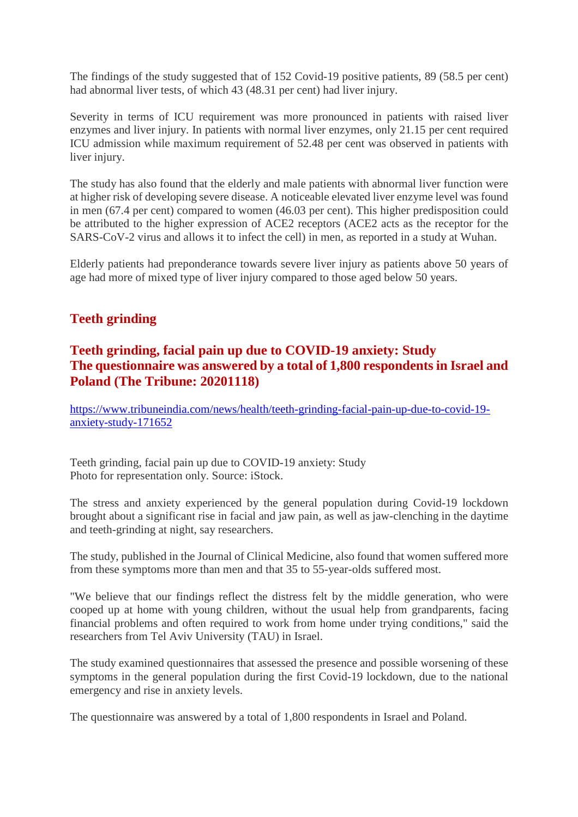The findings of the study suggested that of 152 Covid-19 positive patients, 89 (58.5 per cent) had abnormal liver tests, of which 43 (48.31 per cent) had liver injury.

Severity in terms of ICU requirement was more pronounced in patients with raised liver enzymes and liver injury. In patients with normal liver enzymes, only 21.15 per cent required ICU admission while maximum requirement of 52.48 per cent was observed in patients with liver injury.

The study has also found that the elderly and male patients with abnormal liver function were at higher risk of developing severe disease. A noticeable elevated liver enzyme level was found in men (67.4 per cent) compared to women (46.03 per cent). This higher predisposition could be attributed to the higher expression of ACE2 receptors (ACE2 acts as the receptor for the SARS-CoV-2 virus and allows it to infect the cell) in men, as reported in a study at Wuhan.

Elderly patients had preponderance towards severe liver injury as patients above 50 years of age had more of mixed type of liver injury compared to those aged below 50 years.

#### **Teeth grinding**

#### **Teeth grinding, facial pain up due to COVID-19 anxiety: Study The questionnaire was answered by a total of 1,800 respondents in Israel and Poland (The Tribune: 20201118)**

https://www.tribuneindia.com/news/health/teeth-grinding-facial-pain-up-due-to-covid-19 anxiety-study-171652

Teeth grinding, facial pain up due to COVID-19 anxiety: Study Photo for representation only. Source: iStock.

The stress and anxiety experienced by the general population during Covid-19 lockdown brought about a significant rise in facial and jaw pain, as well as jaw-clenching in the daytime and teeth-grinding at night, say researchers.

The study, published in the Journal of Clinical Medicine, also found that women suffered more from these symptoms more than men and that 35 to 55-year-olds suffered most.

"We believe that our findings reflect the distress felt by the middle generation, who were cooped up at home with young children, without the usual help from grandparents, facing financial problems and often required to work from home under trying conditions," said the researchers from Tel Aviv University (TAU) in Israel.

The study examined questionnaires that assessed the presence and possible worsening of these symptoms in the general population during the first Covid-19 lockdown, due to the national emergency and rise in anxiety levels.

The questionnaire was answered by a total of 1,800 respondents in Israel and Poland.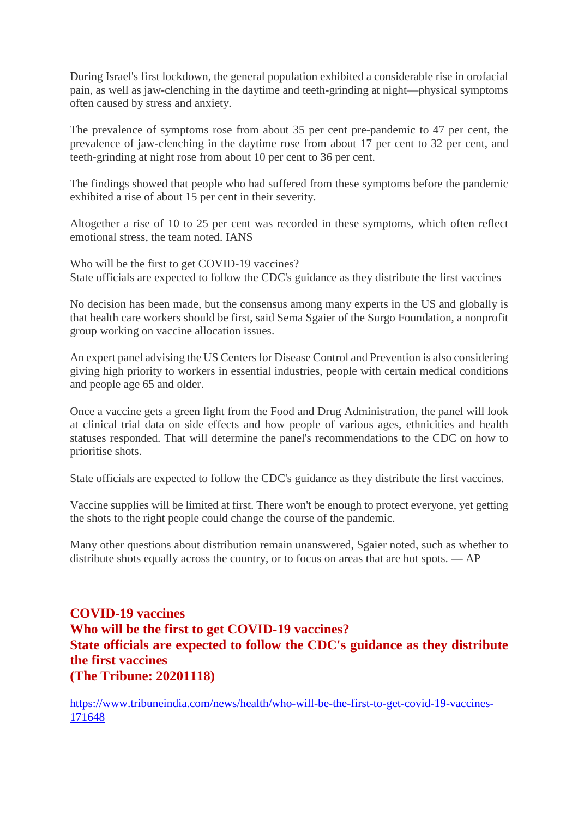During Israel's first lockdown, the general population exhibited a considerable rise in orofacial pain, as well as jaw-clenching in the daytime and teeth-grinding at night—physical symptoms often caused by stress and anxiety.

The prevalence of symptoms rose from about 35 per cent pre-pandemic to 47 per cent, the prevalence of jaw-clenching in the daytime rose from about 17 per cent to 32 per cent, and teeth-grinding at night rose from about 10 per cent to 36 per cent.

The findings showed that people who had suffered from these symptoms before the pandemic exhibited a rise of about 15 per cent in their severity.

Altogether a rise of 10 to 25 per cent was recorded in these symptoms, which often reflect emotional stress, the team noted. IANS

Who will be the first to get COVID-19 vaccines? State officials are expected to follow the CDC's guidance as they distribute the first vaccines

No decision has been made, but the consensus among many experts in the US and globally is that health care workers should be first, said Sema Sgaier of the Surgo Foundation, a nonprofit group working on vaccine allocation issues.

An expert panel advising the US Centers for Disease Control and Prevention is also considering giving high priority to workers in essential industries, people with certain medical conditions and people age 65 and older.

Once a vaccine gets a green light from the Food and Drug Administration, the panel will look at clinical trial data on side effects and how people of various ages, ethnicities and health statuses responded. That will determine the panel's recommendations to the CDC on how to prioritise shots.

State officials are expected to follow the CDC's guidance as they distribute the first vaccines.

Vaccine supplies will be limited at first. There won't be enough to protect everyone, yet getting the shots to the right people could change the course of the pandemic.

Many other questions about distribution remain unanswered, Sgaier noted, such as whether to distribute shots equally across the country, or to focus on areas that are hot spots. — AP

#### **COVID-19 vaccines Who will be the first to get COVID-19 vaccines? State officials are expected to follow the CDC's guidance as they distribute the first vaccines (The Tribune: 20201118)**

https://www.tribuneindia.com/news/health/who-will-be-the-first-to-get-covid-19-vaccines-171648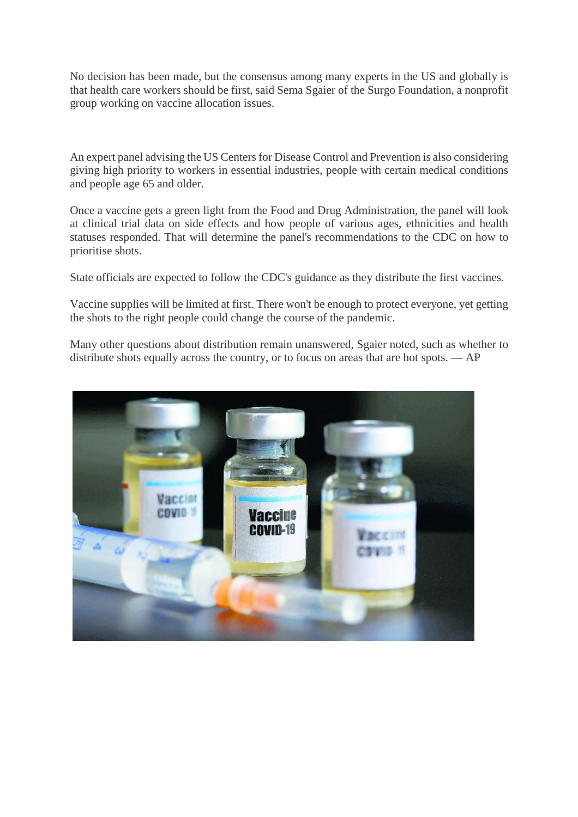No decision has been made, but the consensus among many experts in the US and globally is that health care workers should be first, said Sema Sgaier of the Surgo Foundation, a nonprofit group working on vaccine allocation issues.

An expert panel advising the US Centers for Disease Control and Prevention is also considering giving high priority to workers in essential industries, people with certain medical conditions and people age 65 and older.

Once a vaccine gets a green light from the Food and Drug Administration, the panel will look at clinical trial data on side effects and how people of various ages, ethnicities and health statuses responded. That will determine the panel's recommendations to the CDC on how to prioritise shots.

State officials are expected to follow the CDC's guidance as they distribute the first vaccines.

Vaccine supplies will be limited at first. There won't be enough to protect everyone, yet getting the shots to the right people could change the course of the pandemic.

Many other questions about distribution remain unanswered, Sgaier noted, such as whether to distribute shots equally across the country, or to focus on areas that are hot spots. — AP

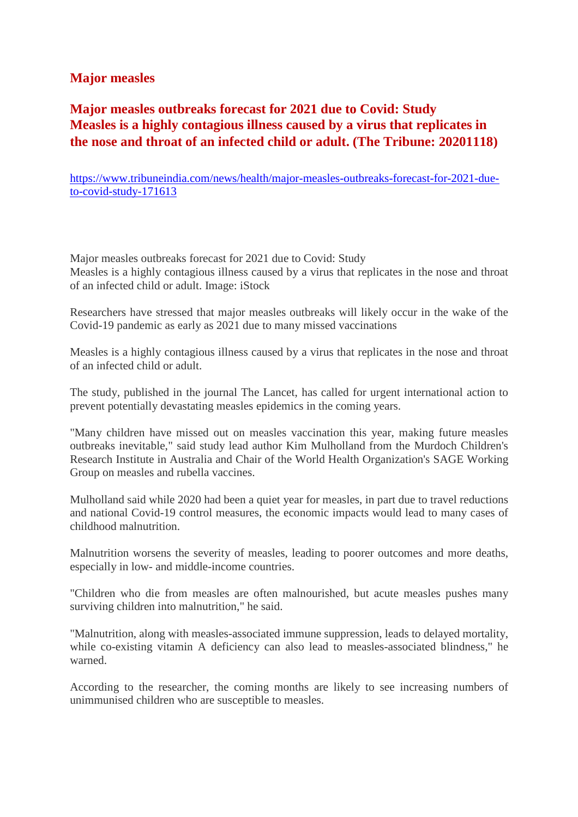#### **Major measles**

#### **Major measles outbreaks forecast for 2021 due to Covid: Study Measles is a highly contagious illness caused by a virus that replicates in the nose and throat of an infected child or adult. (The Tribune: 20201118)**

https://www.tribuneindia.com/news/health/major-measles-outbreaks-forecast-for-2021-dueto-covid-study-171613

Major measles outbreaks forecast for 2021 due to Covid: Study Measles is a highly contagious illness caused by a virus that replicates in the nose and throat of an infected child or adult. Image: iStock

Researchers have stressed that major measles outbreaks will likely occur in the wake of the Covid-19 pandemic as early as 2021 due to many missed vaccinations

Measles is a highly contagious illness caused by a virus that replicates in the nose and throat of an infected child or adult.

The study, published in the journal The Lancet, has called for urgent international action to prevent potentially devastating measles epidemics in the coming years.

"Many children have missed out on measles vaccination this year, making future measles outbreaks inevitable," said study lead author Kim Mulholland from the Murdoch Children's Research Institute in Australia and Chair of the World Health Organization's SAGE Working Group on measles and rubella vaccines.

Mulholland said while 2020 had been a quiet year for measles, in part due to travel reductions and national Covid-19 control measures, the economic impacts would lead to many cases of childhood malnutrition.

Malnutrition worsens the severity of measles, leading to poorer outcomes and more deaths, especially in low- and middle-income countries.

"Children who die from measles are often malnourished, but acute measles pushes many surviving children into malnutrition," he said.

"Malnutrition, along with measles-associated immune suppression, leads to delayed mortality, while co-existing vitamin A deficiency can also lead to measles-associated blindness," he warned.

According to the researcher, the coming months are likely to see increasing numbers of unimmunised children who are susceptible to measles.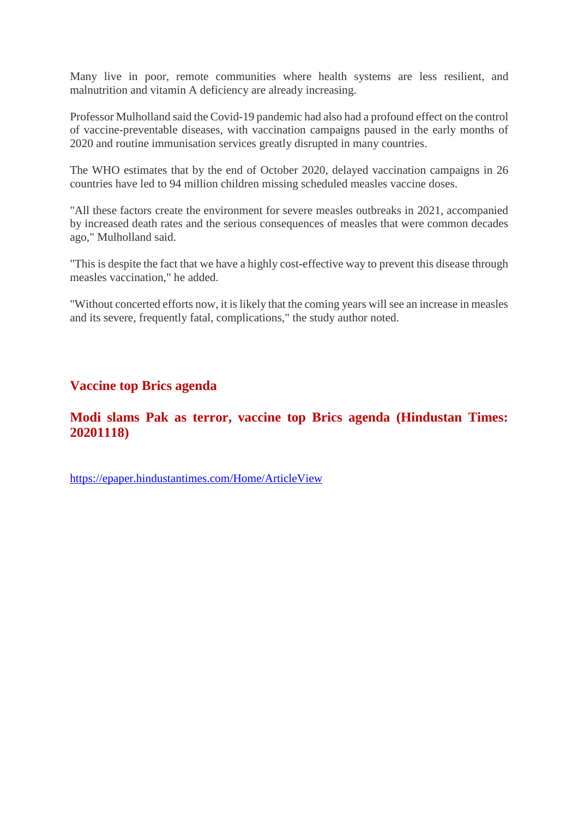Many live in poor, remote communities where health systems are less resilient, and malnutrition and vitamin A deficiency are already increasing.

Professor Mulholland said the Covid-19 pandemic had also had a profound effect on the control of vaccine-preventable diseases, with vaccination campaigns paused in the early months of 2020 and routine immunisation services greatly disrupted in many countries.

The WHO estimates that by the end of October 2020, delayed vaccination campaigns in 26 countries have led to 94 million children missing scheduled measles vaccine doses.

"All these factors create the environment for severe measles outbreaks in 2021, accompanied by increased death rates and the serious consequences of measles that were common decades ago," Mulholland said.

"This is despite the fact that we have a highly cost-effective way to prevent this disease through measles vaccination," he added.

"Without concerted efforts now, it is likely that the coming years will see an increase in measles and its severe, frequently fatal, complications," the study author noted.

#### **Vaccine top Brics agenda**

#### **Modi slams Pak as terror, vaccine top Brics agenda (Hindustan Times: 20201118)**

https://epaper.hindustantimes.com/Home/ArticleView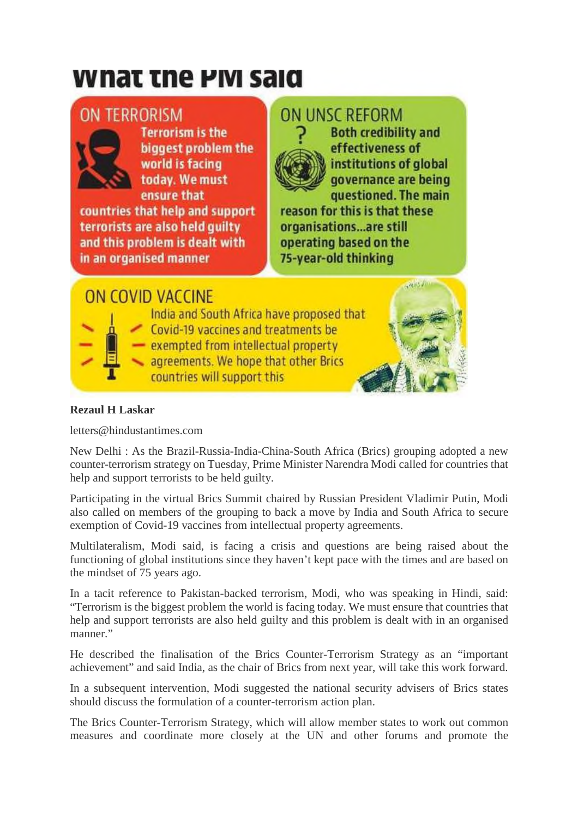# wnat the PM said

### **ON TERRORISM**



**Terrorism is the** biggest problem the world is facing today. We must ensure that

countries that help and support terrorists are also held guilty and this problem is dealt with in an organised manner

## ON UNSC REFORM



**Both credibility and** effectiveness of institutions of global governance are being questioned. The main

reason for this is that these organisations...are still operating based on the 75-year-old thinking

### ON COVID VACCINE

India and South Africa have proposed that Covid-19 vaccines and treatments be - exempted from intellectual property

agreements. We hope that other Brics countries will support this



#### **Rezaul H Laskar**

letters@hindustantimes.com

New Delhi : As the Brazil-Russia-India-China-South Africa (Brics) grouping adopted a new counter-terrorism strategy on Tuesday, Prime Minister Narendra Modi called for countries that help and support terrorists to be held guilty.

Participating in the virtual Brics Summit chaired by Russian President Vladimir Putin, Modi also called on members of the grouping to back a move by India and South Africa to secure exemption of Covid-19 vaccines from intellectual property agreements.

Multilateralism, Modi said, is facing a crisis and questions are being raised about the functioning of global institutions since they haven't kept pace with the times and are based on the mindset of 75 years ago.

In a tacit reference to Pakistan-backed terrorism, Modi, who was speaking in Hindi, said: "Terrorism is the biggest problem the world is facing today. We must ensure that countries that help and support terrorists are also held guilty and this problem is dealt with in an organised manner."

He described the finalisation of the Brics Counter-Terrorism Strategy as an "important achievement" and said India, as the chair of Brics from next year, will take this work forward.

In a subsequent intervention, Modi suggested the national security advisers of Brics states should discuss the formulation of a counter-terrorism action plan.

The Brics Counter-Terrorism Strategy, which will allow member states to work out common measures and coordinate more closely at the UN and other forums and promote the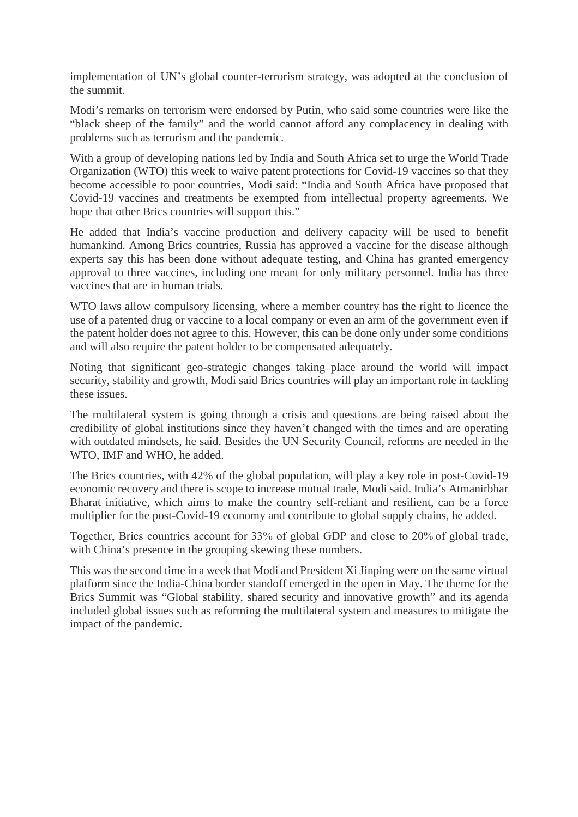implementation of UN's global counter-terrorism strategy, was adopted at the conclusion of the summit.

Modi's remarks on terrorism were endorsed by Putin, who said some countries were like the "black sheep of the family" and the world cannot afford any complacency in dealing with problems such as terrorism and the pandemic.

With a group of developing nations led by India and South Africa set to urge the World Trade Organization (WTO) this week to waive patent protections for Covid-19 vaccines so that they become accessible to poor countries, Modi said: "India and South Africa have proposed that Covid-19 vaccines and treatments be exempted from intellectual property agreements. We hope that other Brics countries will support this."

He added that India's vaccine production and delivery capacity will be used to benefit humankind. Among Brics countries, Russia has approved a vaccine for the disease although experts say this has been done without adequate testing, and China has granted emergency approval to three vaccines, including one meant for only military personnel. India has three vaccines that are in human trials.

WTO laws allow compulsory licensing, where a member country has the right to licence the use of a patented drug or vaccine to a local company or even an arm of the government even if the patent holder does not agree to this. However, this can be done only under some conditions and will also require the patent holder to be compensated adequately.

Noting that significant geo-strategic changes taking place around the world will impact security, stability and growth, Modi said Brics countries will play an important role in tackling these issues.

The multilateral system is going through a crisis and questions are being raised about the credibility of global institutions since they haven't changed with the times and are operating with outdated mindsets, he said. Besides the UN Security Council, reforms are needed in the WTO, IMF and WHO, he added.

The Brics countries, with 42% of the global population, will play a key role in post-Covid-19 economic recovery and there is scope to increase mutual trade, Modi said. India's Atmanirbhar Bharat initiative, which aims to make the country self-reliant and resilient, can be a force multiplier for the post-Covid-19 economy and contribute to global supply chains, he added.

Together, Brics countries account for 33% of global GDP and close to 20% of global trade, with China's presence in the grouping skewing these numbers.

This was the second time in a week that Modi and President Xi Jinping were on the same virtual platform since the India-China border standoff emerged in the open in May. The theme for the Brics Summit was "Global stability, shared security and innovative growth" and its agenda included global issues such as reforming the multilateral system and measures to mitigate the impact of the pandemic.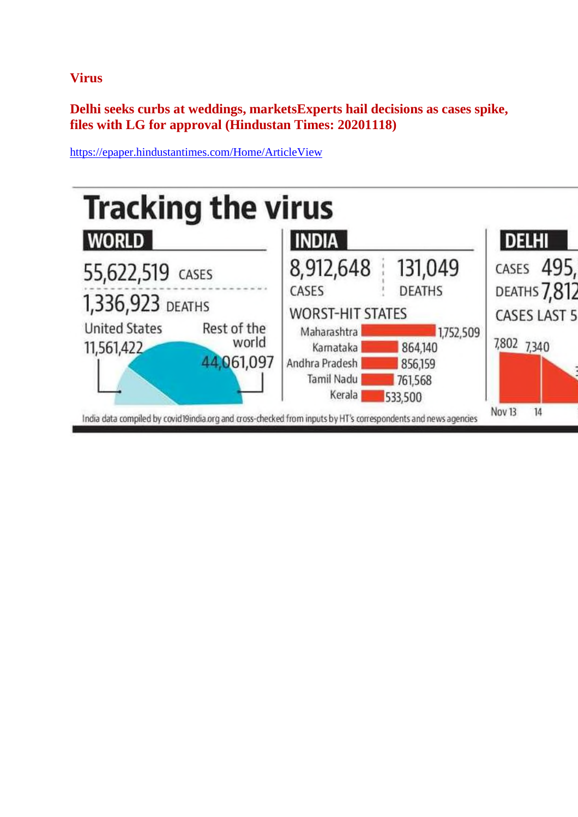**Virus**

**Delhi seeks curbs at weddings, marketsExperts hail decisions as cases spike, files with LG for approval (Hindustan Times: 20201118)**



https://epaper.hindustantimes.com/Home/ArticleView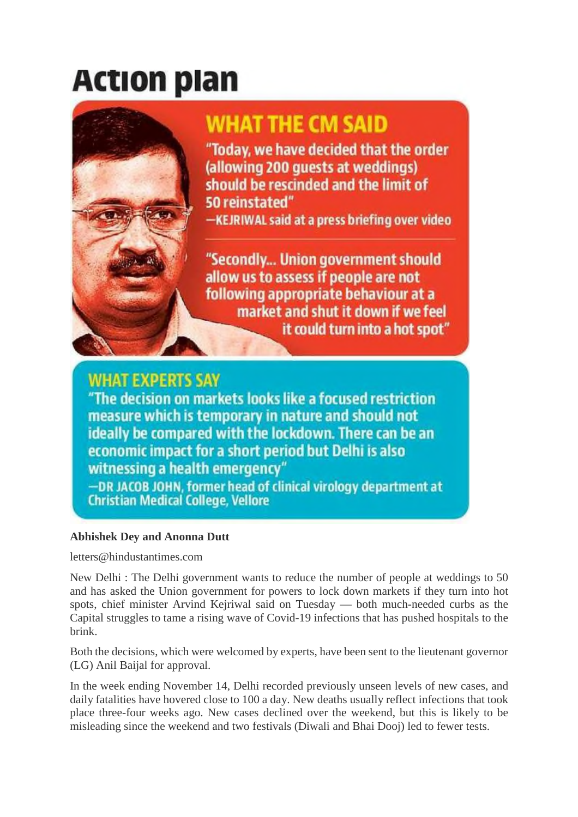# **Action plan**



## **WHAT THE CM SAID**

"Today, we have decided that the order (allowing 200 quests at weddings) should be rescinded and the limit of 50 reinstated"

-KEJRIWAL said at a press briefing over video

"Secondly... Union government should allow us to assess if people are not following appropriate behaviour at a market and shut it down if we feel it could turn into a hot spot"

### **WHAT EXPERTS SAY**

"The decision on markets looks like a focused restriction measure which is temporary in nature and should not ideally be compared with the lockdown. There can be an economic impact for a short period but Delhi is also witnessing a health emergency"

-DR JACOB JOHN, former head of clinical virology department at **Christian Medical College, Vellore** 

#### **Abhishek Dey and Anonna Dutt**

letters@hindustantimes.com

New Delhi : The Delhi government wants to reduce the number of people at weddings to 50 and has asked the Union government for powers to lock down markets if they turn into hot spots, chief minister Arvind Kejriwal said on Tuesday — both much-needed curbs as the Capital struggles to tame a rising wave of Covid-19 infections that has pushed hospitals to the brink.

Both the decisions, which were welcomed by experts, have been sent to the lieutenant governor (LG) Anil Baijal for approval.

In the week ending November 14, Delhi recorded previously unseen levels of new cases, and daily fatalities have hovered close to 100 a day. New deaths usually reflect infections that took place three-four weeks ago. New cases declined over the weekend, but this is likely to be misleading since the weekend and two festivals (Diwali and Bhai Dooj) led to fewer tests.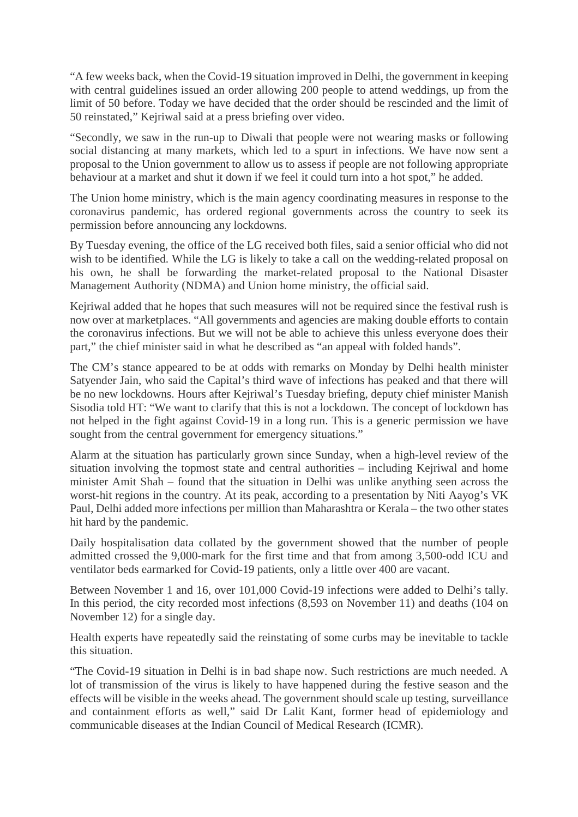"A few weeks back, when the Covid-19 situation improved in Delhi, the government in keeping with central guidelines issued an order allowing 200 people to attend weddings, up from the limit of 50 before. Today we have decided that the order should be rescinded and the limit of 50 reinstated," Kejriwal said at a press briefing over video.

"Secondly, we saw in the run-up to Diwali that people were not wearing masks or following social distancing at many markets, which led to a spurt in infections. We have now sent a proposal to the Union government to allow us to assess if people are not following appropriate behaviour at a market and shut it down if we feel it could turn into a hot spot," he added.

The Union home ministry, which is the main agency coordinating measures in response to the coronavirus pandemic, has ordered regional governments across the country to seek its permission before announcing any lockdowns.

By Tuesday evening, the office of the LG received both files, said a senior official who did not wish to be identified. While the LG is likely to take a call on the wedding-related proposal on his own, he shall be forwarding the market-related proposal to the National Disaster Management Authority (NDMA) and Union home ministry, the official said.

Kejriwal added that he hopes that such measures will not be required since the festival rush is now over at marketplaces. "All governments and agencies are making double efforts to contain the coronavirus infections. But we will not be able to achieve this unless everyone does their part," the chief minister said in what he described as "an appeal with folded hands".

The CM's stance appeared to be at odds with remarks on Monday by Delhi health minister Satyender Jain, who said the Capital's third wave of infections has peaked and that there will be no new lockdowns. Hours after Kejriwal's Tuesday briefing, deputy chief minister Manish Sisodia told HT: "We want to clarify that this is not a lockdown. The concept of lockdown has not helped in the fight against Covid-19 in a long run. This is a generic permission we have sought from the central government for emergency situations."

Alarm at the situation has particularly grown since Sunday, when a high-level review of the situation involving the topmost state and central authorities – including Kejriwal and home minister Amit Shah – found that the situation in Delhi was unlike anything seen across the worst-hit regions in the country. At its peak, according to a presentation by Niti Aayog's VK Paul, Delhi added more infections per million than Maharashtra or Kerala – the two other states hit hard by the pandemic.

Daily hospitalisation data collated by the government showed that the number of people admitted crossed the 9,000-mark for the first time and that from among 3,500-odd ICU and ventilator beds earmarked for Covid-19 patients, only a little over 400 are vacant.

Between November 1 and 16, over 101,000 Covid-19 infections were added to Delhi's tally. In this period, the city recorded most infections (8,593 on November 11) and deaths (104 on November 12) for a single day.

Health experts have repeatedly said the reinstating of some curbs may be inevitable to tackle this situation.

"The Covid-19 situation in Delhi is in bad shape now. Such restrictions are much needed. A lot of transmission of the virus is likely to have happened during the festive season and the effects will be visible in the weeks ahead. The government should scale up testing, surveillance and containment efforts as well," said Dr Lalit Kant, former head of epidemiology and communicable diseases at the Indian Council of Medical Research (ICMR).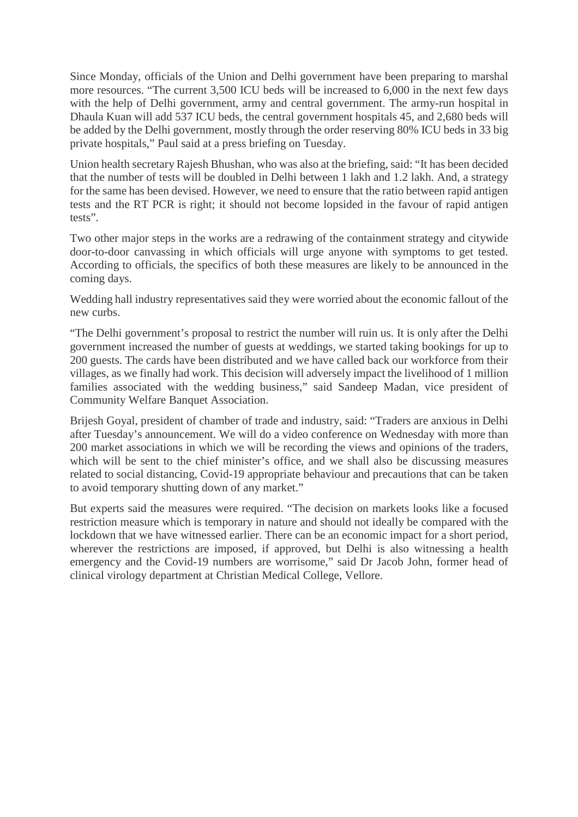Since Monday, officials of the Union and Delhi government have been preparing to marshal more resources. "The current 3,500 ICU beds will be increased to 6,000 in the next few days with the help of Delhi government, army and central government. The army-run hospital in Dhaula Kuan will add 537 ICU beds, the central government hospitals 45, and 2,680 beds will be added by the Delhi government, mostly through the order reserving 80% ICU beds in 33 big private hospitals," Paul said at a press briefing on Tuesday.

Union health secretary Rajesh Bhushan, who was also at the briefing, said: "It has been decided that the number of tests will be doubled in Delhi between 1 lakh and 1.2 lakh. And, a strategy for the same has been devised. However, we need to ensure that the ratio between rapid antigen tests and the RT PCR is right; it should not become lopsided in the favour of rapid antigen tests".

Two other major steps in the works are a redrawing of the containment strategy and citywide door-to-door canvassing in which officials will urge anyone with symptoms to get tested. According to officials, the specifics of both these measures are likely to be announced in the coming days.

Wedding hall industry representatives said they were worried about the economic fallout of the new curbs.

"The Delhi government's proposal to restrict the number will ruin us. It is only after the Delhi government increased the number of guests at weddings, we started taking bookings for up to 200 guests. The cards have been distributed and we have called back our workforce from their villages, as we finally had work. This decision will adversely impact the livelihood of 1 million families associated with the wedding business," said Sandeep Madan, vice president of Community Welfare Banquet Association.

Brijesh Goyal, president of chamber of trade and industry, said: "Traders are anxious in Delhi after Tuesday's announcement. We will do a video conference on Wednesday with more than 200 market associations in which we will be recording the views and opinions of the traders, which will be sent to the chief minister's office, and we shall also be discussing measures related to social distancing, Covid-19 appropriate behaviour and precautions that can be taken to avoid temporary shutting down of any market."

But experts said the measures were required. "The decision on markets looks like a focused restriction measure which is temporary in nature and should not ideally be compared with the lockdown that we have witnessed earlier. There can be an economic impact for a short period, wherever the restrictions are imposed, if approved, but Delhi is also witnessing a health emergency and the Covid-19 numbers are worrisome," said Dr Jacob John, former head of clinical virology department at Christian Medical College, Vellore.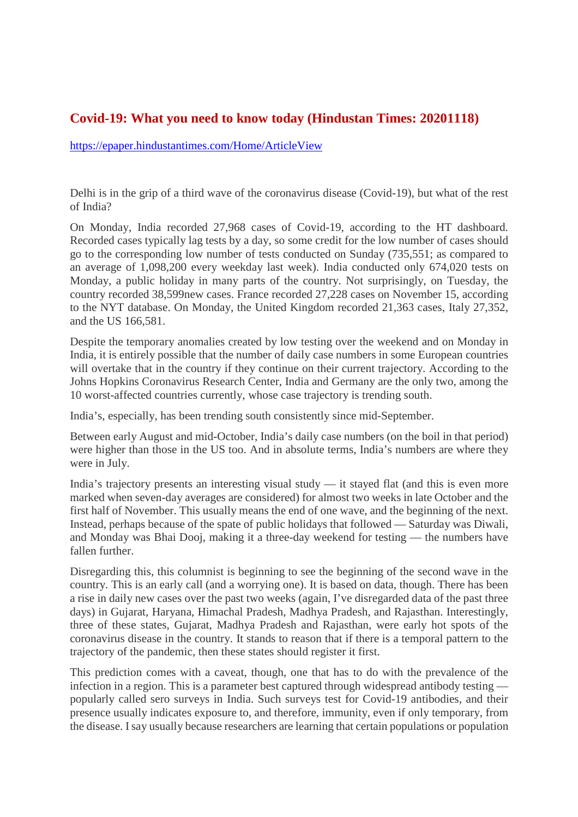#### **Covid-19: What you need to know today (Hindustan Times: 20201118)**

https://epaper.hindustantimes.com/Home/ArticleView

Delhi is in the grip of a third wave of the coronavirus disease (Covid-19), but what of the rest of India?

On Monday, India recorded 27,968 cases of Covid-19, according to the HT dashboard. Recorded cases typically lag tests by a day, so some credit for the low number of cases should go to the corresponding low number of tests conducted on Sunday (735,551; as compared to an average of 1,098,200 every weekday last week). India conducted only 674,020 tests on Monday, a public holiday in many parts of the country. Not surprisingly, on Tuesday, the country recorded 38,599new cases. France recorded 27,228 cases on November 15, according to the NYT database. On Monday, the United Kingdom recorded 21,363 cases, Italy 27,352, and the US 166,581.

Despite the temporary anomalies created by low testing over the weekend and on Monday in India, it is entirely possible that the number of daily case numbers in some European countries will overtake that in the country if they continue on their current trajectory. According to the Johns Hopkins Coronavirus Research Center, India and Germany are the only two, among the 10 worst-affected countries currently, whose case trajectory is trending south.

India's, especially, has been trending south consistently since mid-September.

Between early August and mid-October, India's daily case numbers (on the boil in that period) were higher than those in the US too. And in absolute terms, India's numbers are where they were in July.

India's trajectory presents an interesting visual study — it stayed flat (and this is even more marked when seven-day averages are considered) for almost two weeks in late October and the first half of November. This usually means the end of one wave, and the beginning of the next. Instead, perhaps because of the spate of public holidays that followed — Saturday was Diwali, and Monday was Bhai Dooj, making it a three-day weekend for testing — the numbers have fallen further.

Disregarding this, this columnist is beginning to see the beginning of the second wave in the country. This is an early call (and a worrying one). It is based on data, though. There has been a rise in daily new cases over the past two weeks (again, I've disregarded data of the past three days) in Gujarat, Haryana, Himachal Pradesh, Madhya Pradesh, and Rajasthan. Interestingly, three of these states, Gujarat, Madhya Pradesh and Rajasthan, were early hot spots of the coronavirus disease in the country. It stands to reason that if there is a temporal pattern to the trajectory of the pandemic, then these states should register it first.

This prediction comes with a caveat, though, one that has to do with the prevalence of the infection in a region. This is a parameter best captured through widespread antibody testing popularly called sero surveys in India. Such surveys test for Covid-19 antibodies, and their presence usually indicates exposure to, and therefore, immunity, even if only temporary, from the disease. I say usually because researchers are learning that certain populations or population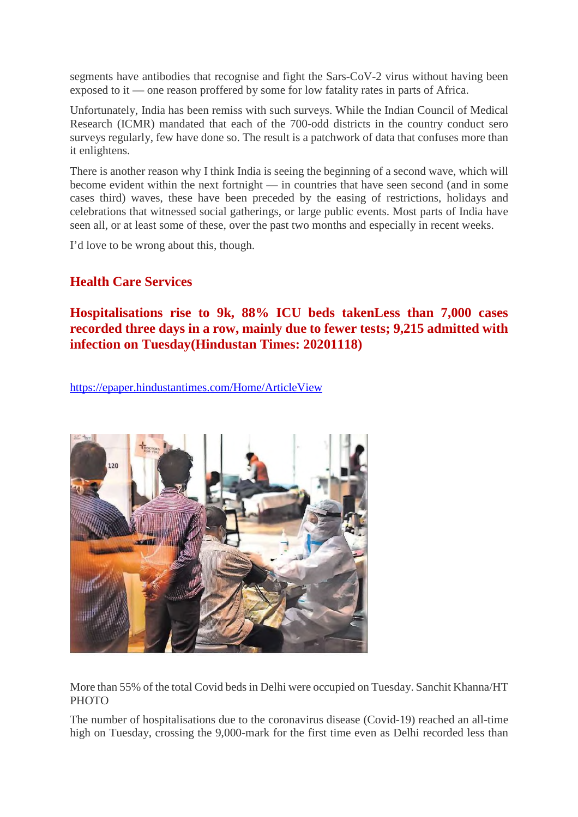segments have antibodies that recognise and fight the Sars-CoV-2 virus without having been exposed to it — one reason proffered by some for low fatality rates in parts of Africa.

Unfortunately, India has been remiss with such surveys. While the Indian Council of Medical Research (ICMR) mandated that each of the 700-odd districts in the country conduct sero surveys regularly, few have done so. The result is a patchwork of data that confuses more than it enlightens.

There is another reason why I think India is seeing the beginning of a second wave, which will become evident within the next fortnight — in countries that have seen second (and in some cases third) waves, these have been preceded by the easing of restrictions, holidays and celebrations that witnessed social gatherings, or large public events. Most parts of India have seen all, or at least some of these, over the past two months and especially in recent weeks.

I'd love to be wrong about this, though.

#### **Health Care Services**

#### **Hospitalisations rise to 9k, 88% ICU beds takenLess than 7,000 cases recorded three days in a row, mainly due to fewer tests; 9,215 admitted with infection on Tuesday(Hindustan Times: 20201118)**

https://epaper.hindustantimes.com/Home/ArticleView



More than 55% of the total Covid beds in Delhi were occupied on Tuesday. Sanchit Khanna/HT **PHOTO** 

The number of hospitalisations due to the coronavirus disease (Covid-19) reached an all-time high on Tuesday, crossing the 9,000-mark for the first time even as Delhi recorded less than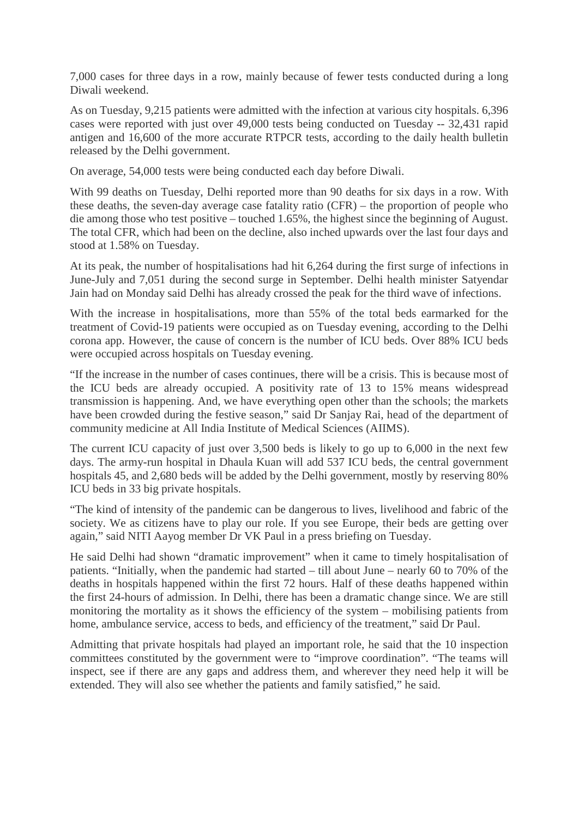7,000 cases for three days in a row, mainly because of fewer tests conducted during a long Diwali weekend.

As on Tuesday, 9,215 patients were admitted with the infection at various city hospitals. 6,396 cases were reported with just over 49,000 tests being conducted on Tuesday -- 32,431 rapid antigen and 16,600 of the more accurate RTPCR tests, according to the daily health bulletin released by the Delhi government.

On average, 54,000 tests were being conducted each day before Diwali.

With 99 deaths on Tuesday, Delhi reported more than 90 deaths for six days in a row. With these deaths, the seven-day average case fatality ratio (CFR) – the proportion of people who die among those who test positive – touched 1.65%, the highest since the beginning of August. The total CFR, which had been on the decline, also inched upwards over the last four days and stood at 1.58% on Tuesday.

At its peak, the number of hospitalisations had hit 6,264 during the first surge of infections in June-July and 7,051 during the second surge in September. Delhi health minister Satyendar Jain had on Monday said Delhi has already crossed the peak for the third wave of infections.

With the increase in hospitalisations, more than 55% of the total beds earmarked for the treatment of Covid-19 patients were occupied as on Tuesday evening, according to the Delhi corona app. However, the cause of concern is the number of ICU beds. Over 88% ICU beds were occupied across hospitals on Tuesday evening.

"If the increase in the number of cases continues, there will be a crisis. This is because most of the ICU beds are already occupied. A positivity rate of 13 to 15% means widespread transmission is happening. And, we have everything open other than the schools; the markets have been crowded during the festive season," said Dr Sanjay Rai, head of the department of community medicine at All India Institute of Medical Sciences (AIIMS).

The current ICU capacity of just over 3,500 beds is likely to go up to 6,000 in the next few days. The army-run hospital in Dhaula Kuan will add 537 ICU beds, the central government hospitals 45, and 2,680 beds will be added by the Delhi government, mostly by reserving 80% ICU beds in 33 big private hospitals.

"The kind of intensity of the pandemic can be dangerous to lives, livelihood and fabric of the society. We as citizens have to play our role. If you see Europe, their beds are getting over again," said NITI Aayog member Dr VK Paul in a press briefing on Tuesday.

He said Delhi had shown "dramatic improvement" when it came to timely hospitalisation of patients. "Initially, when the pandemic had started – till about June – nearly 60 to 70% of the deaths in hospitals happened within the first 72 hours. Half of these deaths happened within the first 24-hours of admission. In Delhi, there has been a dramatic change since. We are still monitoring the mortality as it shows the efficiency of the system – mobilising patients from home, ambulance service, access to beds, and efficiency of the treatment," said Dr Paul.

Admitting that private hospitals had played an important role, he said that the 10 inspection committees constituted by the government were to "improve coordination". "The teams will inspect, see if there are any gaps and address them, and wherever they need help it will be extended. They will also see whether the patients and family satisfied," he said.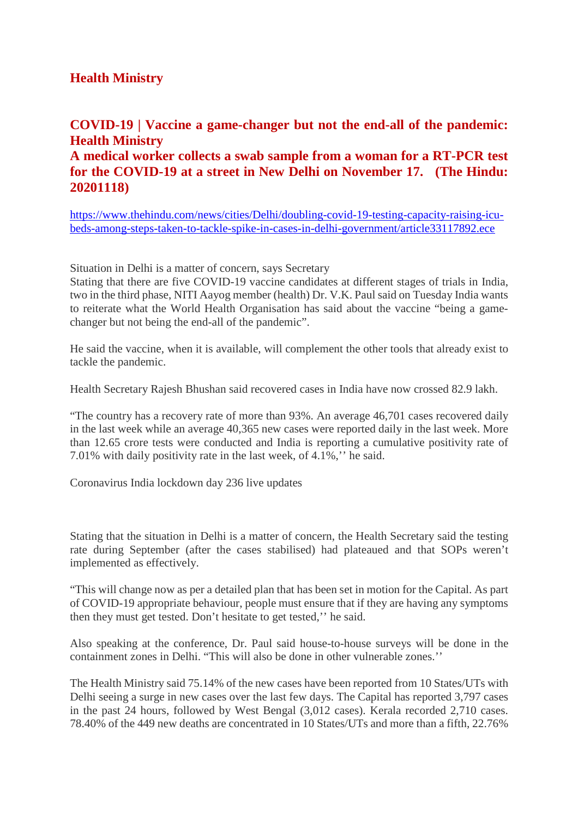#### **Health Ministry**

#### **COVID-19 | Vaccine a game-changer but not the end-all of the pandemic: Health Ministry**

#### **A medical worker collects a swab sample from a woman for a RT-PCR test for the COVID-19 at a street in New Delhi on November 17. (The Hindu: 20201118)**

https://www.thehindu.com/news/cities/Delhi/doubling-covid-19-testing-capacity-raising-icubeds-among-steps-taken-to-tackle-spike-in-cases-in-delhi-government/article33117892.ece

Situation in Delhi is a matter of concern, says Secretary

Stating that there are five COVID-19 vaccine candidates at different stages of trials in India, two in the third phase, NITI Aayog member (health) Dr. V.K. Paul said on Tuesday India wants to reiterate what the World Health Organisation has said about the vaccine "being a gamechanger but not being the end-all of the pandemic".

He said the vaccine, when it is available, will complement the other tools that already exist to tackle the pandemic.

Health Secretary Rajesh Bhushan said recovered cases in India have now crossed 82.9 lakh.

"The country has a recovery rate of more than 93%. An average 46,701 cases recovered daily in the last week while an average 40,365 new cases were reported daily in the last week. More than 12.65 crore tests were conducted and India is reporting a cumulative positivity rate of 7.01% with daily positivity rate in the last week, of 4.1%,'' he said.

Coronavirus India lockdown day 236 live updates

Stating that the situation in Delhi is a matter of concern, the Health Secretary said the testing rate during September (after the cases stabilised) had plateaued and that SOPs weren't implemented as effectively.

"This will change now as per a detailed plan that has been set in motion for the Capital. As part of COVID-19 appropriate behaviour, people must ensure that if they are having any symptoms then they must get tested. Don't hesitate to get tested,'' he said.

Also speaking at the conference, Dr. Paul said house-to-house surveys will be done in the containment zones in Delhi. "This will also be done in other vulnerable zones.''

The Health Ministry said 75.14% of the new cases have been reported from 10 States/UTs with Delhi seeing a surge in new cases over the last few days. The Capital has reported 3,797 cases in the past 24 hours, followed by West Bengal (3,012 cases). Kerala recorded 2,710 cases. 78.40% of the 449 new deaths are concentrated in 10 States/UTs and more than a fifth, 22.76%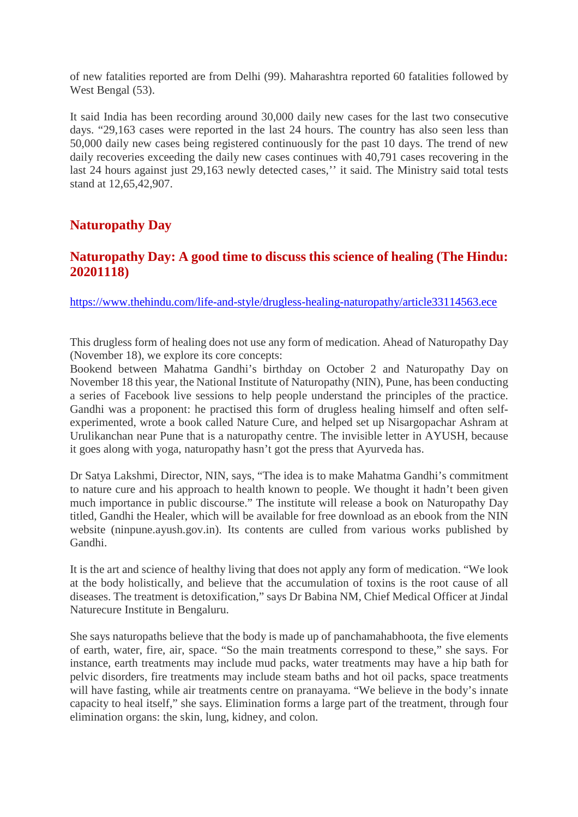of new fatalities reported are from Delhi (99). Maharashtra reported 60 fatalities followed by West Bengal  $(53)$ .

It said India has been recording around 30,000 daily new cases for the last two consecutive days. "29,163 cases were reported in the last 24 hours. The country has also seen less than 50,000 daily new cases being registered continuously for the past 10 days. The trend of new daily recoveries exceeding the daily new cases continues with 40,791 cases recovering in the last 24 hours against just 29,163 newly detected cases,'' it said. The Ministry said total tests stand at 12,65,42,907.

#### **Naturopathy Day**

#### **Naturopathy Day: A good time to discuss this science of healing (The Hindu: 20201118)**

https://www.thehindu.com/life-and-style/drugless-healing-naturopathy/article33114563.ece

This drugless form of healing does not use any form of medication. Ahead of Naturopathy Day (November 18), we explore its core concepts:

Bookend between Mahatma Gandhi's birthday on October 2 and Naturopathy Day on November 18 this year, the National Institute of Naturopathy (NIN), Pune, has been conducting a series of Facebook live sessions to help people understand the principles of the practice. Gandhi was a proponent: he practised this form of drugless healing himself and often selfexperimented, wrote a book called Nature Cure, and helped set up Nisargopachar Ashram at Urulikanchan near Pune that is a naturopathy centre. The invisible letter in AYUSH, because it goes along with yoga, naturopathy hasn't got the press that Ayurveda has.

Dr Satya Lakshmi, Director, NIN, says, "The idea is to make Mahatma Gandhi's commitment to nature cure and his approach to health known to people. We thought it hadn't been given much importance in public discourse." The institute will release a book on Naturopathy Day titled, Gandhi the Healer, which will be available for free download as an ebook from the NIN website (ninpune.ayush.gov.in). Its contents are culled from various works published by Gandhi.

It is the art and science of healthy living that does not apply any form of medication. "We look at the body holistically, and believe that the accumulation of toxins is the root cause of all diseases. The treatment is detoxification," says Dr Babina NM, Chief Medical Officer at Jindal Naturecure Institute in Bengaluru.

She says naturopaths believe that the body is made up of panchamahabhoota, the five elements of earth, water, fire, air, space. "So the main treatments correspond to these," she says. For instance, earth treatments may include mud packs, water treatments may have a hip bath for pelvic disorders, fire treatments may include steam baths and hot oil packs, space treatments will have fasting, while air treatments centre on pranayama. "We believe in the body's innate capacity to heal itself," she says. Elimination forms a large part of the treatment, through four elimination organs: the skin, lung, kidney, and colon.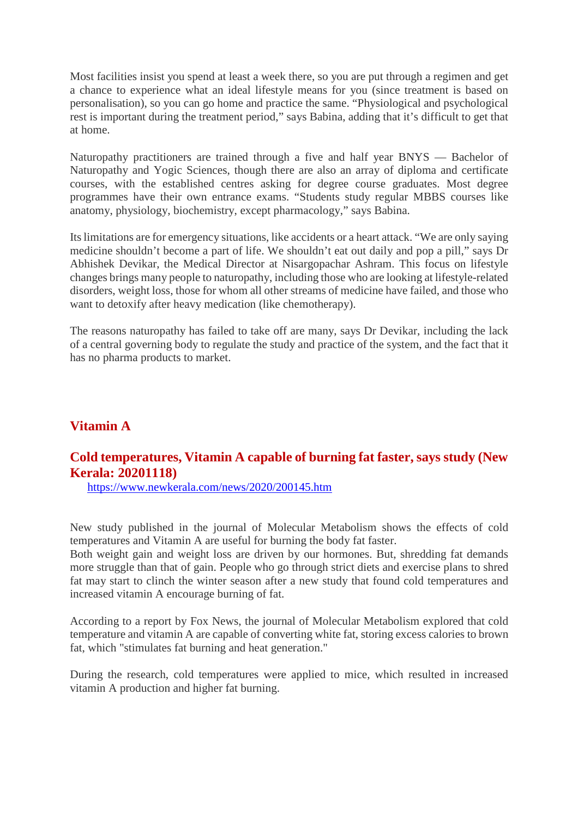Most facilities insist you spend at least a week there, so you are put through a regimen and get a chance to experience what an ideal lifestyle means for you (since treatment is based on personalisation), so you can go home and practice the same. "Physiological and psychological rest is important during the treatment period," says Babina, adding that it's difficult to get that at home.

Naturopathy practitioners are trained through a five and half year BNYS — Bachelor of Naturopathy and Yogic Sciences, though there are also an array of diploma and certificate courses, with the established centres asking for degree course graduates. Most degree programmes have their own entrance exams. "Students study regular MBBS courses like anatomy, physiology, biochemistry, except pharmacology," says Babina.

Its limitations are for emergency situations, like accidents or a heart attack. "We are only saying medicine shouldn't become a part of life. We shouldn't eat out daily and pop a pill," says Dr Abhishek Devikar, the Medical Director at Nisargopachar Ashram. This focus on lifestyle changes brings many people to naturopathy, including those who are looking at lifestyle-related disorders, weight loss, those for whom all other streams of medicine have failed, and those who want to detoxify after heavy medication (like chemotherapy).

The reasons naturopathy has failed to take off are many, says Dr Devikar, including the lack of a central governing body to regulate the study and practice of the system, and the fact that it has no pharma products to market.

#### **Vitamin A**

#### **Cold temperatures, Vitamin A capable of burning fat faster, says study (New Kerala: 20201118)**

https://www.newkerala.com/news/2020/200145.htm

New study published in the journal of Molecular Metabolism shows the effects of cold temperatures and Vitamin A are useful for burning the body fat faster.

Both weight gain and weight loss are driven by our hormones. But, shredding fat demands more struggle than that of gain. People who go through strict diets and exercise plans to shred fat may start to clinch the winter season after a new study that found cold temperatures and increased vitamin A encourage burning of fat.

According to a report by Fox News, the journal of Molecular Metabolism explored that cold temperature and vitamin A are capable of converting white fat, storing excess calories to brown fat, which "stimulates fat burning and heat generation."

During the research, cold temperatures were applied to mice, which resulted in increased vitamin A production and higher fat burning.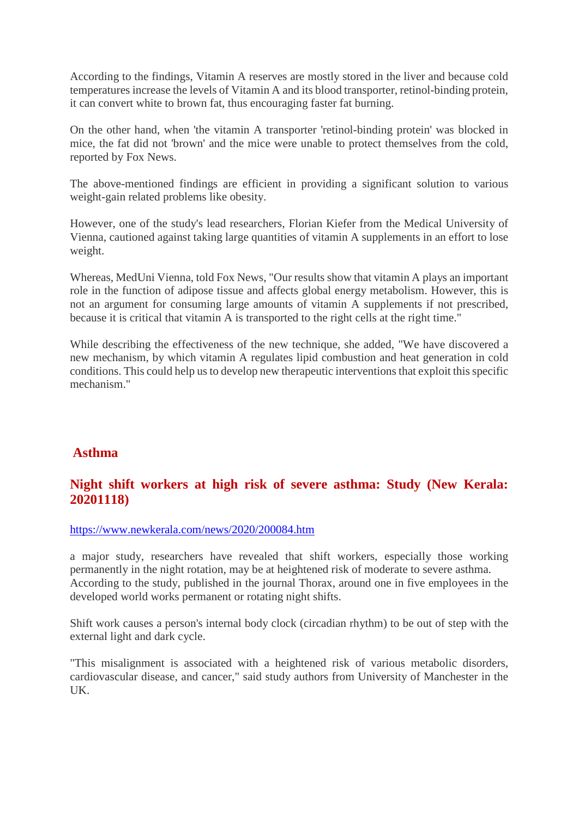According to the findings, Vitamin A reserves are mostly stored in the liver and because cold temperatures increase the levels of Vitamin A and its blood transporter, retinol-binding protein, it can convert white to brown fat, thus encouraging faster fat burning.

On the other hand, when 'the vitamin A transporter 'retinol-binding protein' was blocked in mice, the fat did not 'brown' and the mice were unable to protect themselves from the cold, reported by Fox News.

The above-mentioned findings are efficient in providing a significant solution to various weight-gain related problems like obesity.

However, one of the study's lead researchers, Florian Kiefer from the Medical University of Vienna, cautioned against taking large quantities of vitamin A supplements in an effort to lose weight.

Whereas, MedUni Vienna, told Fox News, "Our results show that vitamin A plays an important role in the function of adipose tissue and affects global energy metabolism. However, this is not an argument for consuming large amounts of vitamin A supplements if not prescribed, because it is critical that vitamin A is transported to the right cells at the right time."

While describing the effectiveness of the new technique, she added, "We have discovered a new mechanism, by which vitamin A regulates lipid combustion and heat generation in cold conditions. This could help us to develop new therapeutic interventions that exploit this specific mechanism."

#### **Asthma**

#### **Night shift workers at high risk of severe asthma: Study (New Kerala: 20201118)**

https://www.newkerala.com/news/2020/200084.htm

a major study, researchers have revealed that shift workers, especially those working permanently in the night rotation, may be at heightened risk of moderate to severe asthma. According to the study, published in the journal Thorax, around one in five employees in the developed world works permanent or rotating night shifts.

Shift work causes a person's internal body clock (circadian rhythm) to be out of step with the external light and dark cycle.

"This misalignment is associated with a heightened risk of various metabolic disorders, cardiovascular disease, and cancer," said study authors from University of Manchester in the UK.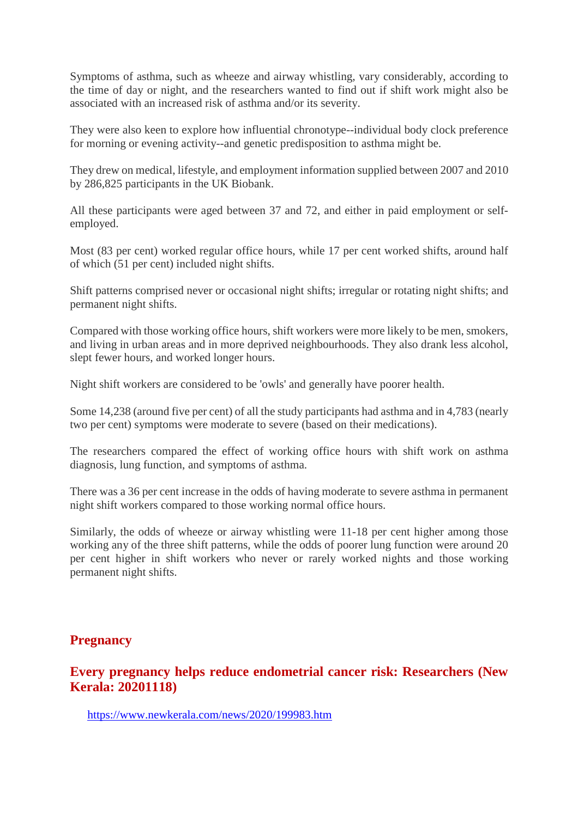Symptoms of asthma, such as wheeze and airway whistling, vary considerably, according to the time of day or night, and the researchers wanted to find out if shift work might also be associated with an increased risk of asthma and/or its severity.

They were also keen to explore how influential chronotype--individual body clock preference for morning or evening activity--and genetic predisposition to asthma might be.

They drew on medical, lifestyle, and employment information supplied between 2007 and 2010 by 286,825 participants in the UK Biobank.

All these participants were aged between 37 and 72, and either in paid employment or selfemployed.

Most (83 per cent) worked regular office hours, while 17 per cent worked shifts, around half of which (51 per cent) included night shifts.

Shift patterns comprised never or occasional night shifts; irregular or rotating night shifts; and permanent night shifts.

Compared with those working office hours, shift workers were more likely to be men, smokers, and living in urban areas and in more deprived neighbourhoods. They also drank less alcohol, slept fewer hours, and worked longer hours.

Night shift workers are considered to be 'owls' and generally have poorer health.

Some 14,238 (around five per cent) of all the study participants had asthma and in 4,783 (nearly two per cent) symptoms were moderate to severe (based on their medications).

The researchers compared the effect of working office hours with shift work on asthma diagnosis, lung function, and symptoms of asthma.

There was a 36 per cent increase in the odds of having moderate to severe asthma in permanent night shift workers compared to those working normal office hours.

Similarly, the odds of wheeze or airway whistling were 11-18 per cent higher among those working any of the three shift patterns, while the odds of poorer lung function were around 20 per cent higher in shift workers who never or rarely worked nights and those working permanent night shifts.

#### **Pregnancy**

#### **Every pregnancy helps reduce endometrial cancer risk: Researchers (New Kerala: 20201118)**

https://www.newkerala.com/news/2020/199983.htm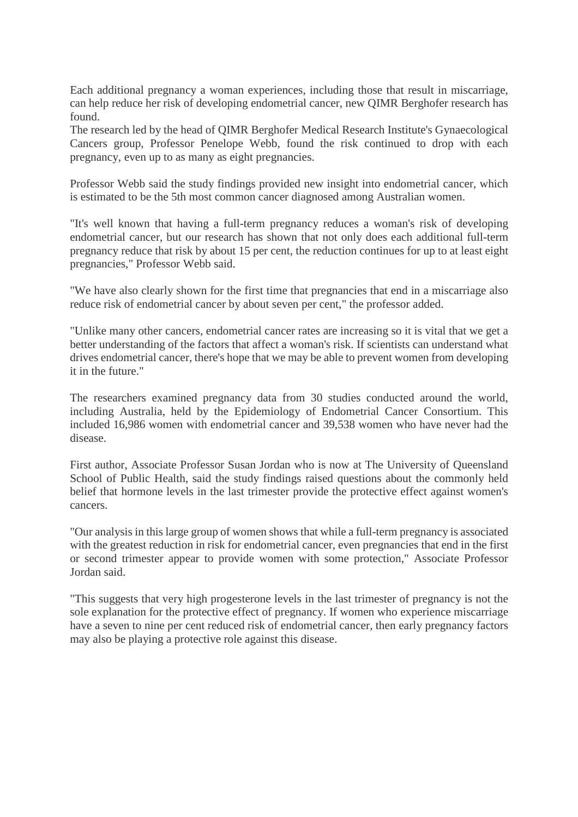Each additional pregnancy a woman experiences, including those that result in miscarriage, can help reduce her risk of developing endometrial cancer, new QIMR Berghofer research has found.

The research led by the head of QIMR Berghofer Medical Research Institute's Gynaecological Cancers group, Professor Penelope Webb, found the risk continued to drop with each pregnancy, even up to as many as eight pregnancies.

Professor Webb said the study findings provided new insight into endometrial cancer, which is estimated to be the 5th most common cancer diagnosed among Australian women.

"It's well known that having a full-term pregnancy reduces a woman's risk of developing endometrial cancer, but our research has shown that not only does each additional full-term pregnancy reduce that risk by about 15 per cent, the reduction continues for up to at least eight pregnancies," Professor Webb said.

"We have also clearly shown for the first time that pregnancies that end in a miscarriage also reduce risk of endometrial cancer by about seven per cent," the professor added.

"Unlike many other cancers, endometrial cancer rates are increasing so it is vital that we get a better understanding of the factors that affect a woman's risk. If scientists can understand what drives endometrial cancer, there's hope that we may be able to prevent women from developing it in the future."

The researchers examined pregnancy data from 30 studies conducted around the world, including Australia, held by the Epidemiology of Endometrial Cancer Consortium. This included 16,986 women with endometrial cancer and 39,538 women who have never had the disease.

First author, Associate Professor Susan Jordan who is now at The University of Queensland School of Public Health, said the study findings raised questions about the commonly held belief that hormone levels in the last trimester provide the protective effect against women's cancers.

"Our analysis in this large group of women shows that while a full-term pregnancy is associated with the greatest reduction in risk for endometrial cancer, even pregnancies that end in the first or second trimester appear to provide women with some protection," Associate Professor Jordan said.

"This suggests that very high progesterone levels in the last trimester of pregnancy is not the sole explanation for the protective effect of pregnancy. If women who experience miscarriage have a seven to nine per cent reduced risk of endometrial cancer, then early pregnancy factors may also be playing a protective role against this disease.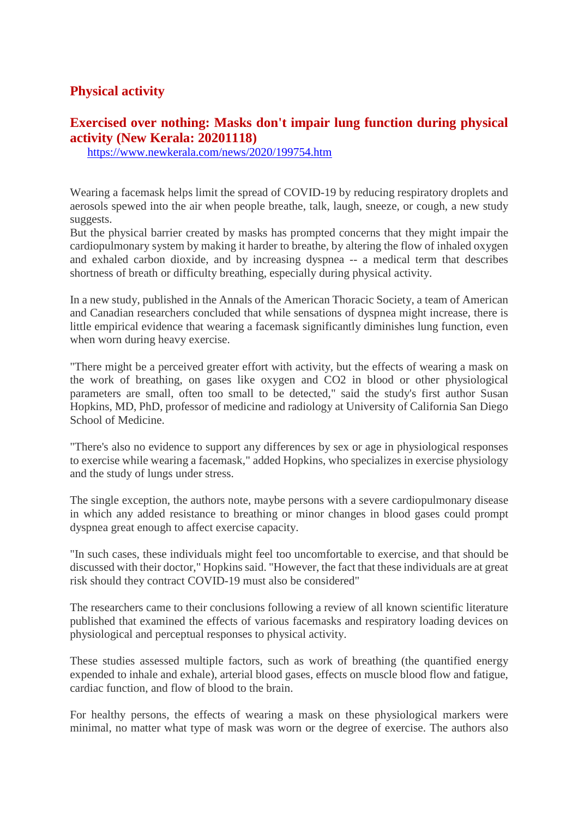#### **Physical activity**

#### **Exercised over nothing: Masks don't impair lung function during physical activity (New Kerala: 20201118)**

https://www.newkerala.com/news/2020/199754.htm

Wearing a facemask helps limit the spread of COVID-19 by reducing respiratory droplets and aerosols spewed into the air when people breathe, talk, laugh, sneeze, or cough, a new study suggests.

But the physical barrier created by masks has prompted concerns that they might impair the cardiopulmonary system by making it harder to breathe, by altering the flow of inhaled oxygen and exhaled carbon dioxide, and by increasing dyspnea -- a medical term that describes shortness of breath or difficulty breathing, especially during physical activity.

In a new study, published in the Annals of the American Thoracic Society, a team of American and Canadian researchers concluded that while sensations of dyspnea might increase, there is little empirical evidence that wearing a facemask significantly diminishes lung function, even when worn during heavy exercise.

"There might be a perceived greater effort with activity, but the effects of wearing a mask on the work of breathing, on gases like oxygen and CO2 in blood or other physiological parameters are small, often too small to be detected," said the study's first author Susan Hopkins, MD, PhD, professor of medicine and radiology at University of California San Diego School of Medicine.

"There's also no evidence to support any differences by sex or age in physiological responses to exercise while wearing a facemask," added Hopkins, who specializes in exercise physiology and the study of lungs under stress.

The single exception, the authors note, maybe persons with a severe cardiopulmonary disease in which any added resistance to breathing or minor changes in blood gases could prompt dyspnea great enough to affect exercise capacity.

"In such cases, these individuals might feel too uncomfortable to exercise, and that should be discussed with their doctor," Hopkins said. "However, the fact that these individuals are at great risk should they contract COVID-19 must also be considered"

The researchers came to their conclusions following a review of all known scientific literature published that examined the effects of various facemasks and respiratory loading devices on physiological and perceptual responses to physical activity.

These studies assessed multiple factors, such as work of breathing (the quantified energy expended to inhale and exhale), arterial blood gases, effects on muscle blood flow and fatigue, cardiac function, and flow of blood to the brain.

For healthy persons, the effects of wearing a mask on these physiological markers were minimal, no matter what type of mask was worn or the degree of exercise. The authors also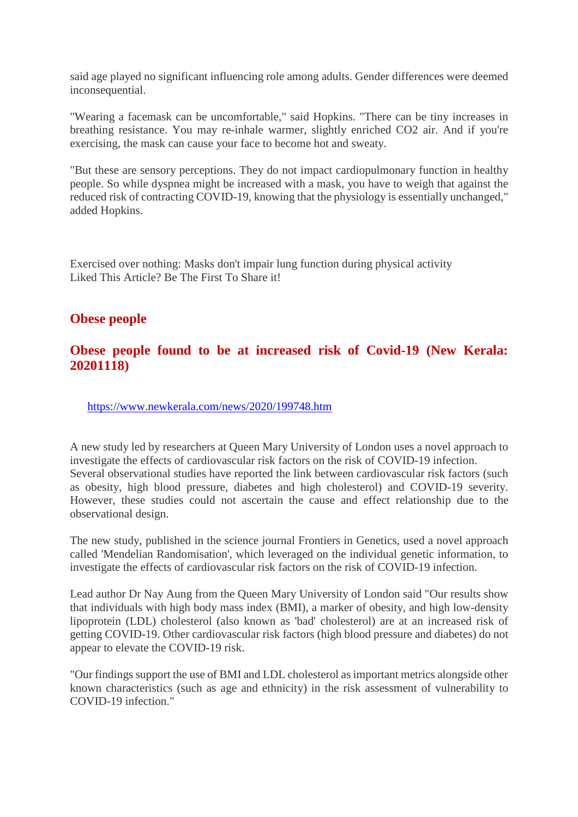said age played no significant influencing role among adults. Gender differences were deemed inconsequential.

"Wearing a facemask can be uncomfortable," said Hopkins. "There can be tiny increases in breathing resistance. You may re-inhale warmer, slightly enriched CO2 air. And if you're exercising, the mask can cause your face to become hot and sweaty.

"But these are sensory perceptions. They do not impact cardiopulmonary function in healthy people. So while dyspnea might be increased with a mask, you have to weigh that against the reduced risk of contracting COVID-19, knowing that the physiology is essentially unchanged," added Hopkins.

Exercised over nothing: Masks don't impair lung function during physical activity Liked This Article? Be The First To Share it!

#### **Obese people**

#### **Obese people found to be at increased risk of Covid-19 (New Kerala: 20201118)**

https://www.newkerala.com/news/2020/199748.htm

A new study led by researchers at Queen Mary University of London uses a novel approach to investigate the effects of cardiovascular risk factors on the risk of COVID-19 infection. Several observational studies have reported the link between cardiovascular risk factors (such as obesity, high blood pressure, diabetes and high cholesterol) and COVID-19 severity. However, these studies could not ascertain the cause and effect relationship due to the observational design.

The new study, published in the science journal Frontiers in Genetics, used a novel approach called 'Mendelian Randomisation', which leveraged on the individual genetic information, to investigate the effects of cardiovascular risk factors on the risk of COVID-19 infection.

Lead author Dr Nay Aung from the Queen Mary University of London said "Our results show that individuals with high body mass index (BMI), a marker of obesity, and high low-density lipoprotein (LDL) cholesterol (also known as 'bad' cholesterol) are at an increased risk of getting COVID-19. Other cardiovascular risk factors (high blood pressure and diabetes) do not appear to elevate the COVID-19 risk.

"Our findings support the use of BMI and LDL cholesterol as important metrics alongside other known characteristics (such as age and ethnicity) in the risk assessment of vulnerability to COVID-19 infection."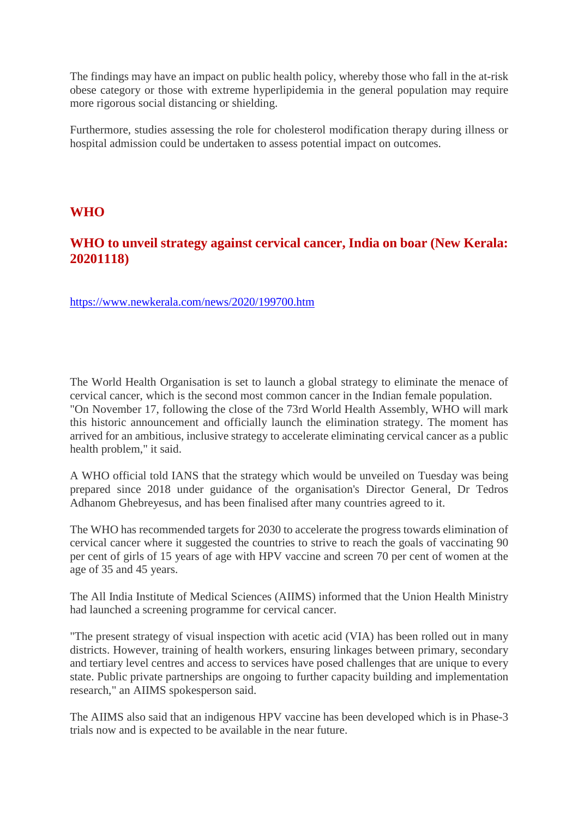The findings may have an impact on public health policy, whereby those who fall in the at-risk obese category or those with extreme hyperlipidemia in the general population may require more rigorous social distancing or shielding.

Furthermore, studies assessing the role for cholesterol modification therapy during illness or hospital admission could be undertaken to assess potential impact on outcomes.

#### **WHO**

#### **WHO to unveil strategy against cervical cancer, India on boar (New Kerala: 20201118)**

https://www.newkerala.com/news/2020/199700.htm

The World Health Organisation is set to launch a global strategy to eliminate the menace of cervical cancer, which is the second most common cancer in the Indian female population. "On November 17, following the close of the 73rd World Health Assembly, WHO will mark this historic announcement and officially launch the elimination strategy. The moment has arrived for an ambitious, inclusive strategy to accelerate eliminating cervical cancer as a public health problem," it said.

A WHO official told IANS that the strategy which would be unveiled on Tuesday was being prepared since 2018 under guidance of the organisation's Director General, Dr Tedros Adhanom Ghebreyesus, and has been finalised after many countries agreed to it.

The WHO has recommended targets for 2030 to accelerate the progress towards elimination of cervical cancer where it suggested the countries to strive to reach the goals of vaccinating 90 per cent of girls of 15 years of age with HPV vaccine and screen 70 per cent of women at the age of 35 and 45 years.

The All India Institute of Medical Sciences (AIIMS) informed that the Union Health Ministry had launched a screening programme for cervical cancer.

"The present strategy of visual inspection with acetic acid (VIA) has been rolled out in many districts. However, training of health workers, ensuring linkages between primary, secondary and tertiary level centres and access to services have posed challenges that are unique to every state. Public private partnerships are ongoing to further capacity building and implementation research," an AIIMS spokesperson said.

The AIIMS also said that an indigenous HPV vaccine has been developed which is in Phase-3 trials now and is expected to be available in the near future.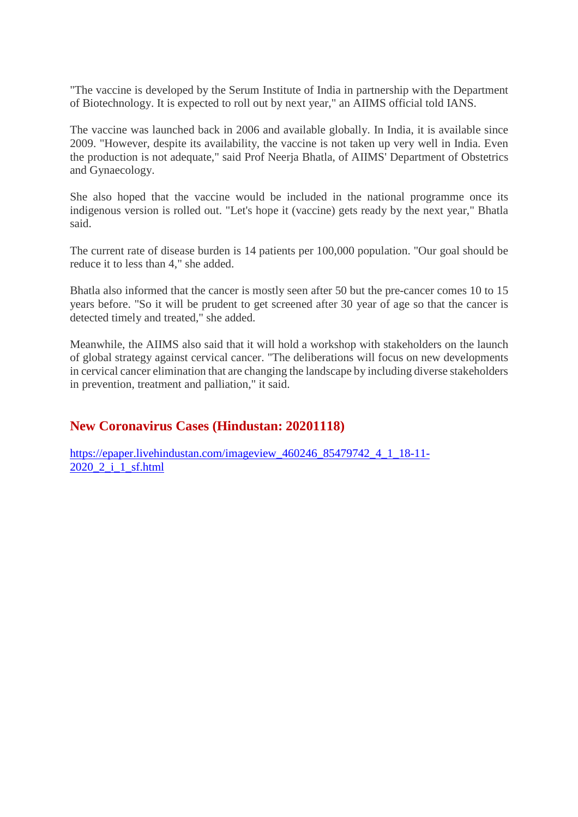"The vaccine is developed by the Serum Institute of India in partnership with the Department of Biotechnology. It is expected to roll out by next year," an AIIMS official told IANS.

The vaccine was launched back in 2006 and available globally. In India, it is available since 2009. "However, despite its availability, the vaccine is not taken up very well in India. Even the production is not adequate," said Prof Neerja Bhatla, of AIIMS' Department of Obstetrics and Gynaecology.

She also hoped that the vaccine would be included in the national programme once its indigenous version is rolled out. "Let's hope it (vaccine) gets ready by the next year," Bhatla said.

The current rate of disease burden is 14 patients per 100,000 population. "Our goal should be reduce it to less than 4," she added.

Bhatla also informed that the cancer is mostly seen after 50 but the pre-cancer comes 10 to 15 years before. "So it will be prudent to get screened after 30 year of age so that the cancer is detected timely and treated," she added.

Meanwhile, the AIIMS also said that it will hold a workshop with stakeholders on the launch of global strategy against cervical cancer. "The deliberations will focus on new developments in cervical cancer elimination that are changing the landscape by including diverse stakeholders in prevention, treatment and palliation," it said.

#### **New Coronavirus Cases (Hindustan: 20201118)**

https://epaper.livehindustan.com/imageview\_460246\_85479742\_4\_1\_18-11- 2020\_2\_i\_1\_sf.html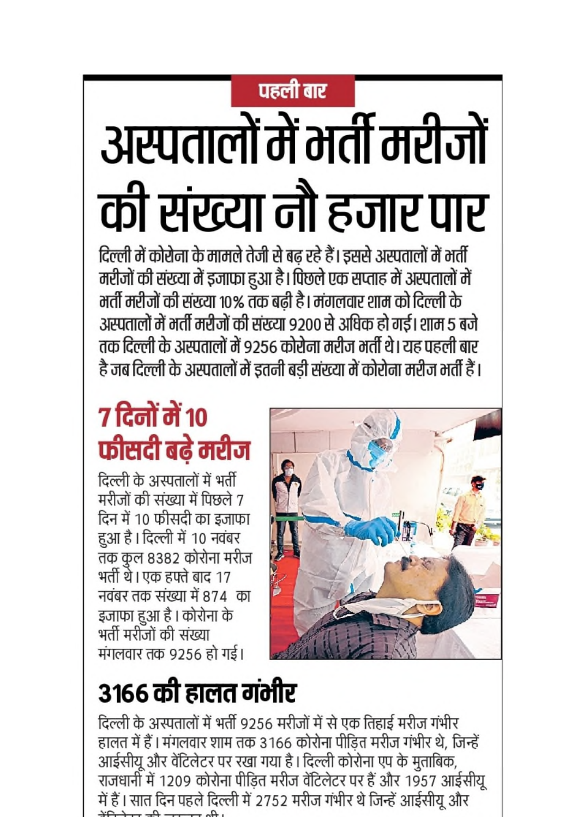# पहली बार

# अस्पतालों में भर्ती मरीजों की संख्या नौ हजार पार

दिल्ली में कोरोना के मामले तेजी से बढ़ रहे हैं। इससे अस्पतालों में भर्ती मरीजों की संख्या में इजाफा हुआ है। पिछले एक सप्ताह में अस्पतालों में मर्ती मरीजों की संख्या १०% तक बढी है। मंगलवार शाम को दिल्ली के अस्पतालों में भर्ती मरीजों की संख्या 9200 से अधिक हो गई। शाम 5 बजे तक दिल्ली के अस्पतालों में ९२५६ कोरोना मरीज भर्ती थे। यह पहली बार है जब दिल्ली के अस्पतालों में इतनी बडी संख्या में कोरोना मरीज भर्ती हैं।

# 7 दिनों में 10 फीसदी बढे मरीज

दिल्ली के अस्पतालों में भर्ती मरीजों की संख्या में पिछले 7 दिन में 10 फीसदी का इजाफा हुआ है। दिल्ली में 10 नवंबर तक कूल ८३८२ कोरोना मरीज भर्ती थे। एक हफ्ते बाद 17 नवंबर तक संख्या में 874 का इजाफा हुआ है। कोरोना के भर्ती मरीजों की संख्या मंगलवार तक 9256 हो गई।



# ३१६६ की हालत गंभीर

दिल्ली के अस्पतालों में भर्ती 9256 मरीजों में से एक तिहाई मरीज गंभीर हालत में हैं। मंगलवार शाम तक 3166 कोरोना पीड़ित मरीज गंभीर थे, जिन्हें आईसीयू और वेंटिलेटर पर रखा गया है। दिल्ली कोरोना एप के मुताबिक, राजधानी में 1209 कोरोना पीड़ित मरीज वेंटिलेटर पर हैं और 1957 आईसीयू में हैं। सात दिन पहले दिल्ली में 2752 मरीज गंभीर थे जिन्हें आईसीयू और  $\mathcal{L}$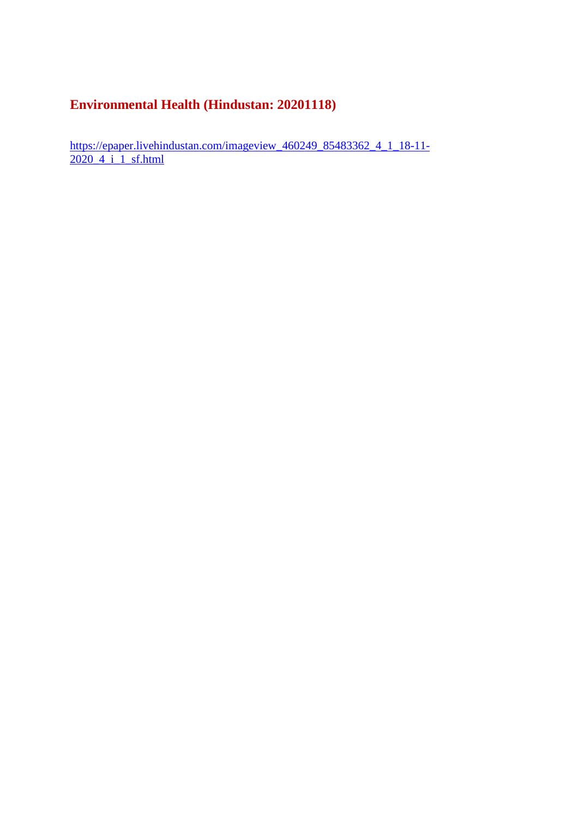#### **Environmental Health (Hindustan: 20201118)**

https://epaper.livehindustan.com/imageview\_460249\_85483362\_4\_1\_18-11-2020\_4\_i\_1\_sf.html